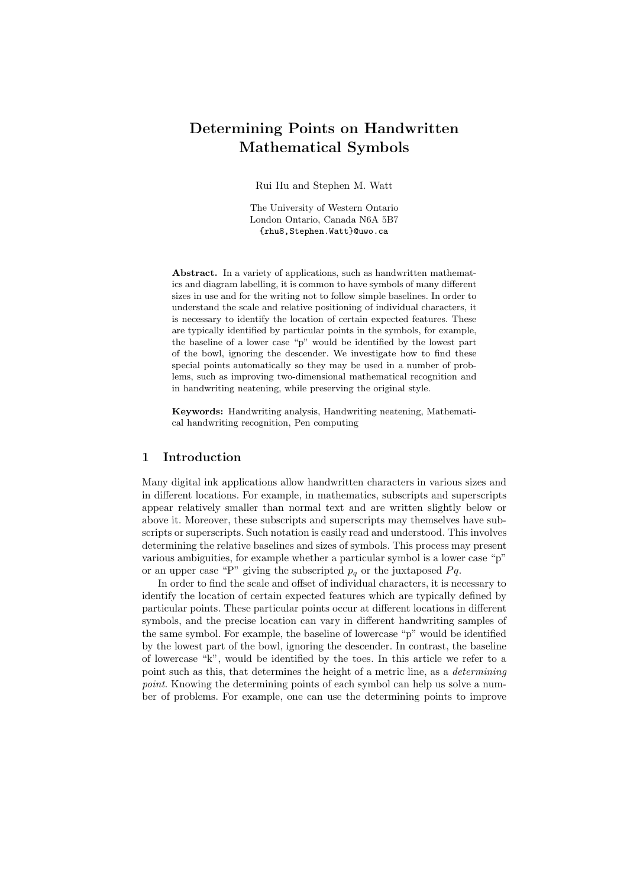# Determining Points on Handwritten Mathematical Symbols

Rui Hu and Stephen M. Watt

The University of Western Ontario London Ontario, Canada N6A 5B7 {rhu8,Stephen.Watt}@uwo.ca

Abstract. In a variety of applications, such as handwritten mathematics and diagram labelling, it is common to have symbols of many different sizes in use and for the writing not to follow simple baselines. In order to understand the scale and relative positioning of individual characters, it is necessary to identify the location of certain expected features. These are typically identified by particular points in the symbols, for example, the baseline of a lower case "p" would be identified by the lowest part of the bowl, ignoring the descender. We investigate how to find these special points automatically so they may be used in a number of problems, such as improving two-dimensional mathematical recognition and in handwriting neatening, while preserving the original style.

Keywords: Handwriting analysis, Handwriting neatening, Mathematical handwriting recognition, Pen computing

# 1 Introduction

Many digital ink applications allow handwritten characters in various sizes and in different locations. For example, in mathematics, subscripts and superscripts appear relatively smaller than normal text and are written slightly below or above it. Moreover, these subscripts and superscripts may themselves have subscripts or superscripts. Such notation is easily read and understood. This involves determining the relative baselines and sizes of symbols. This process may present various ambiguities, for example whether a particular symbol is a lower case "p" or an upper case "P" giving the subscripted  $p_q$  or the juxtaposed  $Pq$ .

In order to find the scale and offset of individual characters, it is necessary to identify the location of certain expected features which are typically defined by particular points. These particular points occur at different locations in different symbols, and the precise location can vary in different handwriting samples of the same symbol. For example, the baseline of lowercase "p" would be identified by the lowest part of the bowl, ignoring the descender. In contrast, the baseline of lowercase "k", would be identified by the toes. In this article we refer to a point such as this, that determines the height of a metric line, as a determining point. Knowing the determining points of each symbol can help us solve a number of problems. For example, one can use the determining points to improve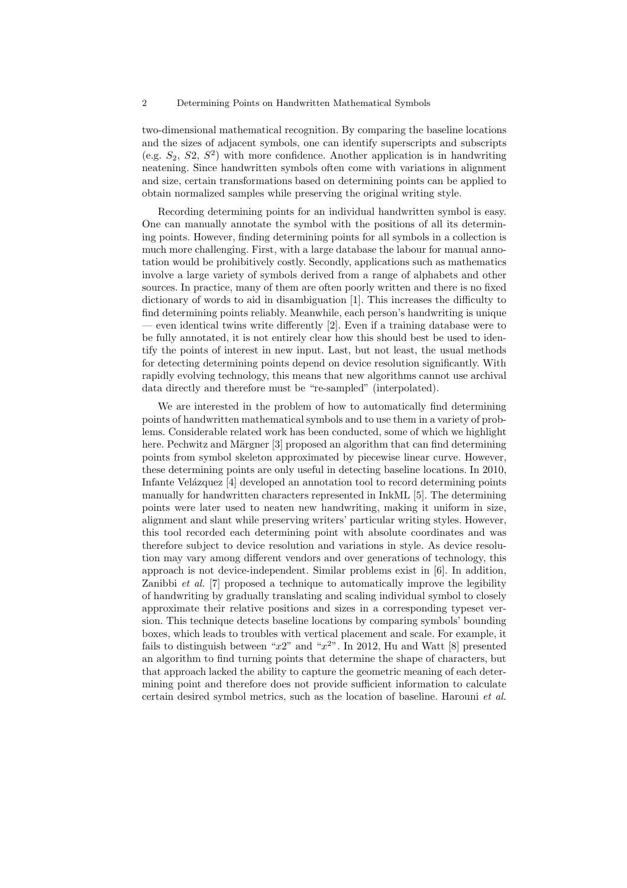#### 2 Determining Points on Handwritten Mathematical Symbols

two-dimensional mathematical recognition. By comparing the baseline locations and the sizes of adjacent symbols, one can identify superscripts and subscripts (e.g.  $S_2$ ,  $S_2$ ,  $S^2$ ) with more confidence. Another application is in handwriting neatening. Since handwritten symbols often come with variations in alignment and size, certain transformations based on determining points can be applied to obtain normalized samples while preserving the original writing style.

Recording determining points for an individual handwritten symbol is easy. One can manually annotate the symbol with the positions of all its determining points. However, finding determining points for all symbols in a collection is much more challenging. First, with a large database the labour for manual annotation would be prohibitively costly. Secondly, applications such as mathematics involve a large variety of symbols derived from a range of alphabets and other sources. In practice, many of them are often poorly written and there is no fixed dictionary of words to aid in disambiguation [1]. This increases the difficulty to find determining points reliably. Meanwhile, each person's handwriting is unique — even identical twins write differently [2]. Even if a training database were to be fully annotated, it is not entirely clear how this should best be used to identify the points of interest in new input. Last, but not least, the usual methods for detecting determining points depend on device resolution significantly. With rapidly evolving technology, this means that new algorithms cannot use archival data directly and therefore must be "re-sampled" (interpolated).

We are interested in the problem of how to automatically find determining points of handwritten mathematical symbols and to use them in a variety of problems. Considerable related work has been conducted, some of which we highlight here. Pechwitz and Märgner [3] proposed an algorithm that can find determining points from symbol skeleton approximated by piecewise linear curve. However, these determining points are only useful in detecting baseline locations. In 2010, Infante Velázquez [4] developed an annotation tool to record determining points manually for handwritten characters represented in InkML [5]. The determining points were later used to neaten new handwriting, making it uniform in size, alignment and slant while preserving writers' particular writing styles. However, this tool recorded each determining point with absolute coordinates and was therefore subject to device resolution and variations in style. As device resolution may vary among different vendors and over generations of technology, this approach is not device-independent. Similar problems exist in [6]. In addition, Zanibbi et al. [7] proposed a technique to automatically improve the legibility of handwriting by gradually translating and scaling individual symbol to closely approximate their relative positions and sizes in a corresponding typeset version. This technique detects baseline locations by comparing symbols' bounding boxes, which leads to troubles with vertical placement and scale. For example, it fails to distinguish between " $x2$ " and " $x^2$ ". In 2012, Hu and Watt [8] presented an algorithm to find turning points that determine the shape of characters, but that approach lacked the ability to capture the geometric meaning of each determining point and therefore does not provide sufficient information to calculate certain desired symbol metrics, such as the location of baseline. Harouni et al.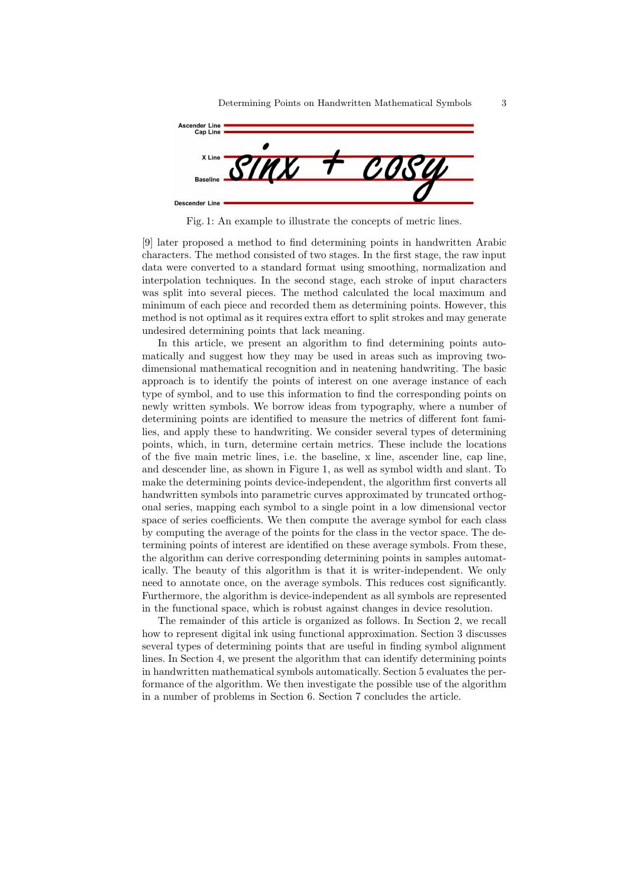

Fig. 1: An example to illustrate the concepts of metric lines.

[9] later proposed a method to find determining points in handwritten Arabic characters. The method consisted of two stages. In the first stage, the raw input data were converted to a standard format using smoothing, normalization and interpolation techniques. In the second stage, each stroke of input characters was split into several pieces. The method calculated the local maximum and minimum of each piece and recorded them as determining points. However, this method is not optimal as it requires extra effort to split strokes and may generate undesired determining points that lack meaning.

In this article, we present an algorithm to find determining points automatically and suggest how they may be used in areas such as improving twodimensional mathematical recognition and in neatening handwriting. The basic approach is to identify the points of interest on one average instance of each type of symbol, and to use this information to find the corresponding points on newly written symbols. We borrow ideas from typography, where a number of determining points are identified to measure the metrics of different font families, and apply these to handwriting. We consider several types of determining points, which, in turn, determine certain metrics. These include the locations of the five main metric lines, i.e. the baseline, x line, ascender line, cap line, and descender line, as shown in Figure 1, as well as symbol width and slant. To make the determining points device-independent, the algorithm first converts all handwritten symbols into parametric curves approximated by truncated orthogonal series, mapping each symbol to a single point in a low dimensional vector space of series coefficients. We then compute the average symbol for each class by computing the average of the points for the class in the vector space. The determining points of interest are identified on these average symbols. From these, the algorithm can derive corresponding determining points in samples automatically. The beauty of this algorithm is that it is writer-independent. We only need to annotate once, on the average symbols. This reduces cost significantly. Furthermore, the algorithm is device-independent as all symbols are represented in the functional space, which is robust against changes in device resolution.

The remainder of this article is organized as follows. In Section 2, we recall how to represent digital ink using functional approximation. Section 3 discusses several types of determining points that are useful in finding symbol alignment lines. In Section 4, we present the algorithm that can identify determining points in handwritten mathematical symbols automatically. Section 5 evaluates the performance of the algorithm. We then investigate the possible use of the algorithm in a number of problems in Section 6. Section 7 concludes the article.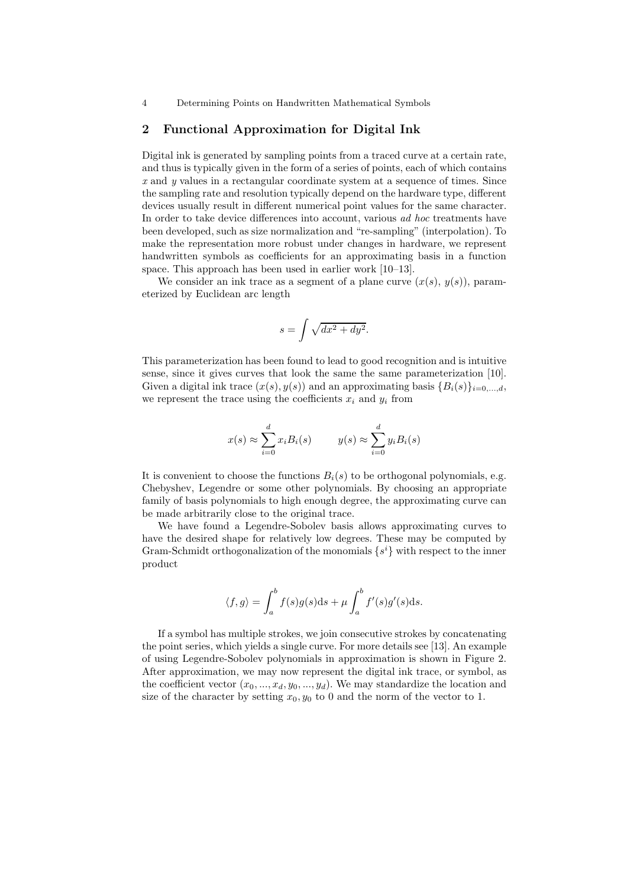4 Determining Points on Handwritten Mathematical Symbols

## 2 Functional Approximation for Digital Ink

Digital ink is generated by sampling points from a traced curve at a certain rate, and thus is typically given in the form of a series of points, each of which contains x and  $\gamma$  values in a rectangular coordinate system at a sequence of times. Since the sampling rate and resolution typically depend on the hardware type, different devices usually result in different numerical point values for the same character. In order to take device differences into account, various *ad hoc* treatments have been developed, such as size normalization and "re-sampling" (interpolation). To make the representation more robust under changes in hardware, we represent handwritten symbols as coefficients for an approximating basis in a function space. This approach has been used in earlier work [10–13].

We consider an ink trace as a segment of a plane curve  $(x(s), y(s))$ , parameterized by Euclidean arc length

$$
s = \int \sqrt{dx^2 + dy^2}.
$$

This parameterization has been found to lead to good recognition and is intuitive sense, since it gives curves that look the same the same parameterization [10]. Given a digital ink trace  $(x(s), y(s))$  and an approximating basis  ${B_i(s)}_{i=0,\ldots,d}$ , we represent the trace using the coefficients  $x_i$  and  $y_i$  from

$$
x(s) \approx \sum_{i=0}^{d} x_i B_i(s) \qquad y(s) \approx \sum_{i=0}^{d} y_i B_i(s)
$$

It is convenient to choose the functions  $B_i(s)$  to be orthogonal polynomials, e.g. Chebyshev, Legendre or some other polynomials. By choosing an appropriate family of basis polynomials to high enough degree, the approximating curve can be made arbitrarily close to the original trace.

We have found a Legendre-Sobolev basis allows approximating curves to have the desired shape for relatively low degrees. These may be computed by Gram-Schmidt orthogonalization of the monomials  $\{s^i\}$  with respect to the inner product

$$
\langle f, g \rangle = \int_a^b f(s)g(s)ds + \mu \int_a^b f'(s)g'(s)ds.
$$

If a symbol has multiple strokes, we join consecutive strokes by concatenating the point series, which yields a single curve. For more details see [13]. An example of using Legendre-Sobolev polynomials in approximation is shown in Figure 2. After approximation, we may now represent the digital ink trace, or symbol, as the coefficient vector  $(x_0, ..., x_d, y_0, ..., y_d)$ . We may standardize the location and size of the character by setting  $x_0, y_0$  to 0 and the norm of the vector to 1.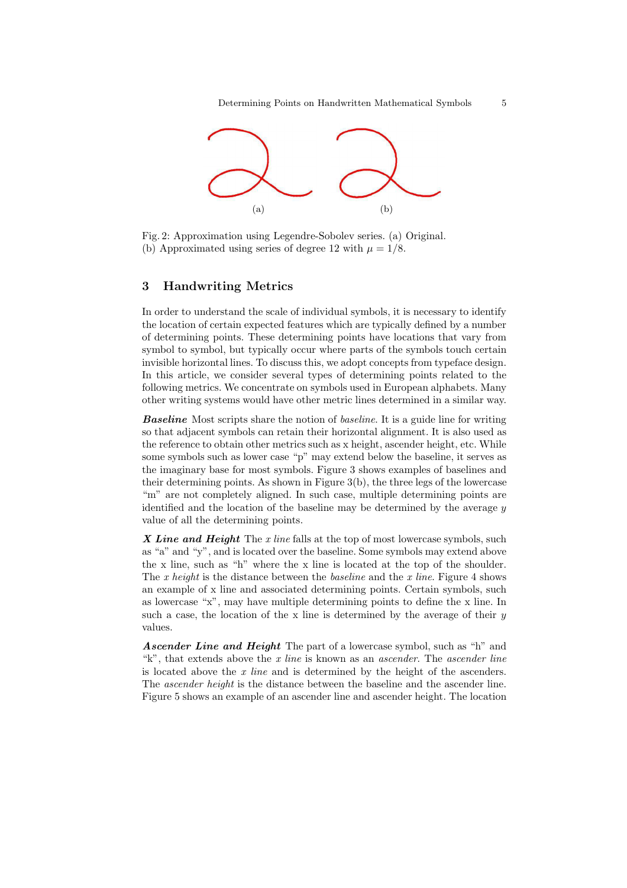

Fig. 2: Approximation using Legendre-Sobolev series. (a) Original. (b) Approximated using series of degree 12 with  $\mu = 1/8$ .

### 3 Handwriting Metrics

In order to understand the scale of individual symbols, it is necessary to identify the location of certain expected features which are typically defined by a number of determining points. These determining points have locations that vary from symbol to symbol, but typically occur where parts of the symbols touch certain invisible horizontal lines. To discuss this, we adopt concepts from typeface design. In this article, we consider several types of determining points related to the following metrics. We concentrate on symbols used in European alphabets. Many other writing systems would have other metric lines determined in a similar way.

**Baseline** Most scripts share the notion of *baseline*. It is a guide line for writing so that adjacent symbols can retain their horizontal alignment. It is also used as the reference to obtain other metrics such as x height, ascender height, etc. While some symbols such as lower case "p" may extend below the baseline, it serves as the imaginary base for most symbols. Figure 3 shows examples of baselines and their determining points. As shown in Figure 3(b), the three legs of the lowercase "m" are not completely aligned. In such case, multiple determining points are identified and the location of the baseline may be determined by the average  $y$ value of all the determining points.

 $X$  Line and Height The  $x$  line falls at the top of most lowercase symbols, such as "a" and "y", and is located over the baseline. Some symbols may extend above the x line, such as "h" where the x line is located at the top of the shoulder. The x height is the distance between the baseline and the x line. Figure 4 shows an example of x line and associated determining points. Certain symbols, such as lowercase "x", may have multiple determining points to define the x line. In such a case, the location of the x line is determined by the average of their  $y$ values.

Ascender Line and Height The part of a lowercase symbol, such as "h" and "k", that extends above the x line is known as an *ascender*. The *ascender line* is located above the  $x$  line and is determined by the height of the ascenders. The *ascender height* is the distance between the baseline and the ascender line. Figure 5 shows an example of an ascender line and ascender height. The location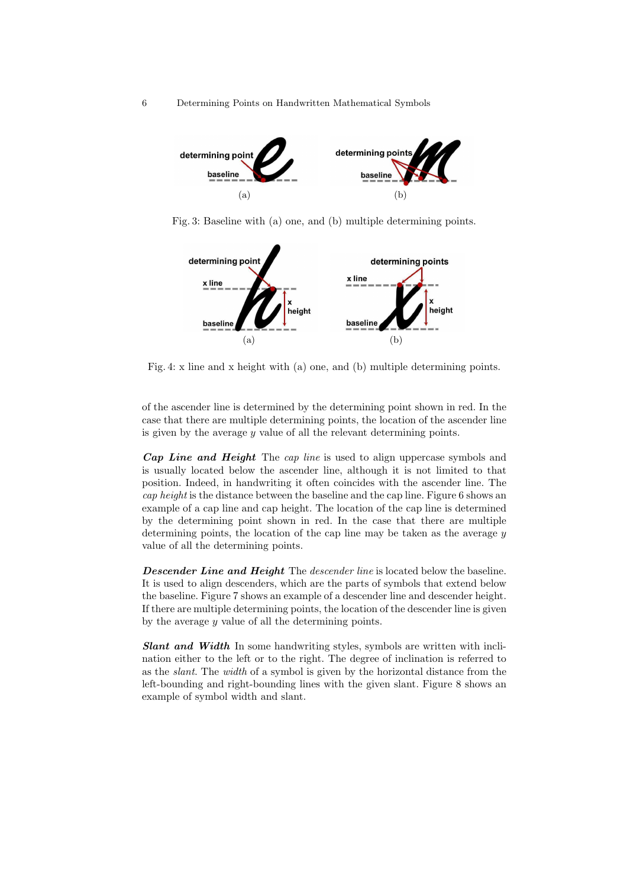

Fig. 3: Baseline with (a) one, and (b) multiple determining points.



Fig. 4: x line and x height with (a) one, and (b) multiple determining points.

of the ascender line is determined by the determining point shown in red. In the case that there are multiple determining points, the location of the ascender line is given by the average  $y$  value of all the relevant determining points.

Cap Line and Height The cap line is used to align uppercase symbols and is usually located below the ascender line, although it is not limited to that position. Indeed, in handwriting it often coincides with the ascender line. The cap height is the distance between the baseline and the cap line. Figure 6 shows an example of a cap line and cap height. The location of the cap line is determined by the determining point shown in red. In the case that there are multiple determining points, the location of the cap line may be taken as the average  $y$ value of all the determining points.

**Descender Line and Height** The descender line is located below the baseline. It is used to align descenders, which are the parts of symbols that extend below the baseline. Figure 7 shows an example of a descender line and descender height. If there are multiple determining points, the location of the descender line is given by the average  $\psi$  value of all the determining points.

Slant and Width In some handwriting styles, symbols are written with inclination either to the left or to the right. The degree of inclination is referred to as the slant. The width of a symbol is given by the horizontal distance from the left-bounding and right-bounding lines with the given slant. Figure 8 shows an example of symbol width and slant.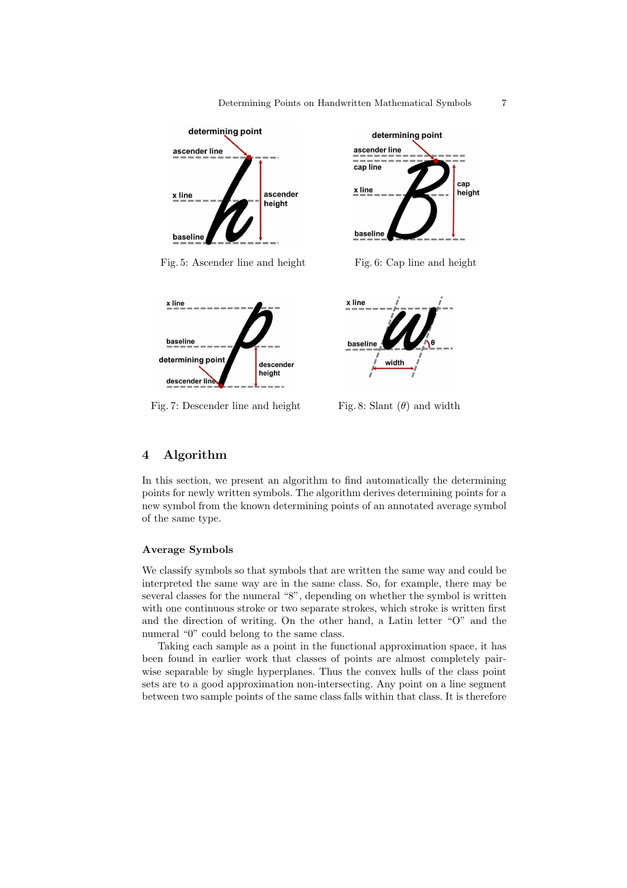

Fig. 5: Ascender line and height Fig. 6: Cap line and height



Fig. 7: Descender line and height Fig. 8: Slant  $(\theta)$  and width





# 4 Algorithm

In this section, we present an algorithm to find automatically the determining points for newly written symbols. The algorithm derives determining points for a new symbol from the known determining points of an annotated average symbol of the same type.

#### Average Symbols

We classify symbols so that symbols that are written the same way and could be interpreted the same way are in the same class. So, for example, there may be several classes for the numeral "8", depending on whether the symbol is written with one continuous stroke or two separate strokes, which stroke is written first and the direction of writing. On the other hand, a Latin letter "O" and the numeral "0" could belong to the same class.

Taking each sample as a point in the functional approximation space, it has been found in earlier work that classes of points are almost completely pairwise separable by single hyperplanes. Thus the convex hulls of the class point sets are to a good approximation non-intersecting. Any point on a line segment between two sample points of the same class falls within that class. It is therefore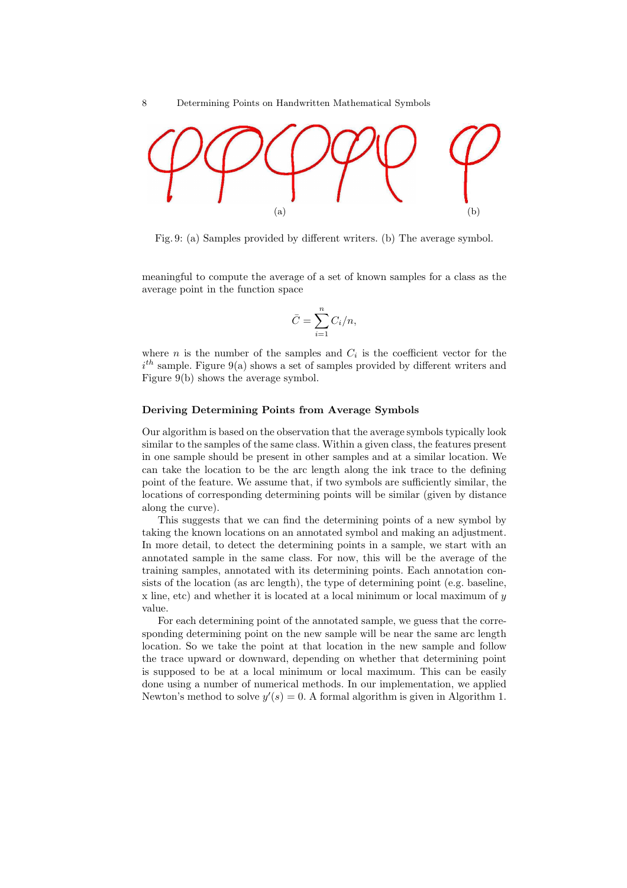

Fig. 9: (a) Samples provided by different writers. (b) The average symbol.

meaningful to compute the average of a set of known samples for a class as the average point in the function space

$$
\bar{C} = \sum_{i=1}^{n} C_i / n,
$$

where *n* is the number of the samples and  $C_i$  is the coefficient vector for the  $i<sup>th</sup>$  sample. Figure 9(a) shows a set of samples provided by different writers and Figure 9(b) shows the average symbol.

#### Deriving Determining Points from Average Symbols

Our algorithm is based on the observation that the average symbols typically look similar to the samples of the same class. Within a given class, the features present in one sample should be present in other samples and at a similar location. We can take the location to be the arc length along the ink trace to the defining point of the feature. We assume that, if two symbols are sufficiently similar, the locations of corresponding determining points will be similar (given by distance along the curve).

This suggests that we can find the determining points of a new symbol by taking the known locations on an annotated symbol and making an adjustment. In more detail, to detect the determining points in a sample, we start with an annotated sample in the same class. For now, this will be the average of the training samples, annotated with its determining points. Each annotation consists of the location (as arc length), the type of determining point (e.g. baseline, x line, etc) and whether it is located at a local minimum or local maximum of  $y$ value.

For each determining point of the annotated sample, we guess that the corresponding determining point on the new sample will be near the same arc length location. So we take the point at that location in the new sample and follow the trace upward or downward, depending on whether that determining point is supposed to be at a local minimum or local maximum. This can be easily done using a number of numerical methods. In our implementation, we applied Newton's method to solve  $y'(s) = 0$ . A formal algorithm is given in Algorithm 1.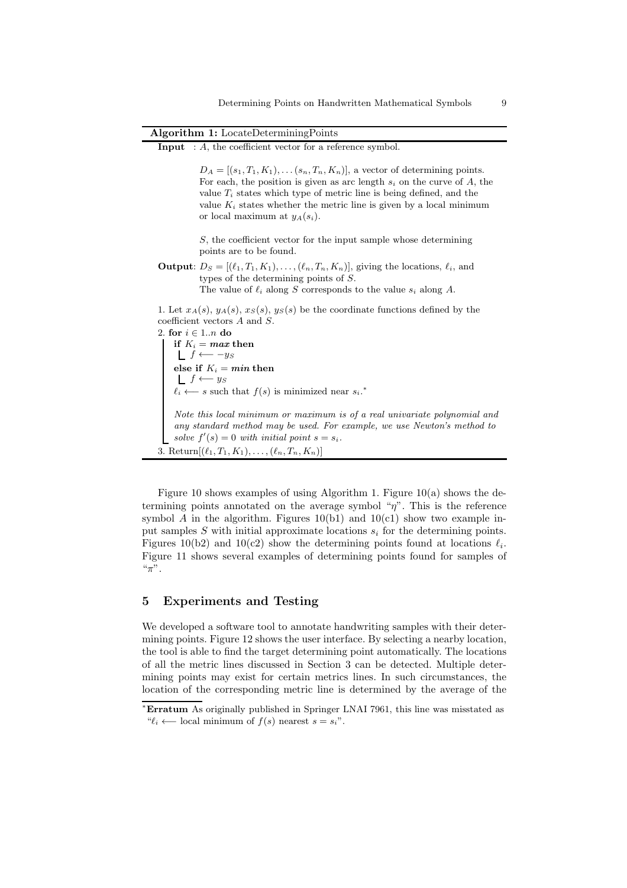|  | Algorithm 1: LocateDeterminingPoints |  |
|--|--------------------------------------|--|
|--|--------------------------------------|--|

Input : A, the coefficient vector for a reference symbol.

 $D_A = [(s_1, T_1, K_1), \ldots (s_n, T_n, K_n)],$  a vector of determining points. For each, the position is given as arc length  $s_i$  on the curve of  $A$ , the value  $T_i$  states which type of metric line is being defined, and the value  $K_i$  states whether the metric line is given by a local minimum or local maximum at  $y_A(s_i)$ .

S, the coefficient vector for the input sample whose determining points are to be found.

**Output:**  $D_S = [(\ell_1, T_1, K_1), \ldots, (\ell_n, T_n, K_n)]$ , giving the locations,  $\ell_i$ , and types of the determining points of S.

The value of  $\ell_i$  along S corresponds to the value  $s_i$  along A.

1. Let  $x_A(s)$ ,  $y_A(s)$ ,  $x_S(s)$ ,  $y_S(s)$  be the coordinate functions defined by the coefficient vectors  $A$  and  $S$ .

2. for  $i \in 1..n$  do if  $K_i = max$  then  $\perp$  f ←  $-ys$ else if  $K_i = min$  then  $\Box$  f ← ys  $\ell_i \leftarrow s$  such that  $f(s)$  is minimized near  $s_i$ .<sup>\*</sup> Note this local minimum or maximum is of a real univariate polynomial and any standard method may be used. For example, we use Newton's method to solve  $f'(s) = 0$  with initial point  $s = s_i$ . 3. Return $[(\ell_1, T_1, K_1), \ldots, (\ell_n, T_n, K_n)]$ 

Figure 10 shows examples of using Algorithm 1. Figure  $10(a)$  shows the determining points annotated on the average symbol " $\eta$ ". This is the reference symbol A in the algorithm. Figures  $10(b1)$  and  $10(c1)$  show two example input samples  $S$  with initial approximate locations  $s_i$  for the determining points. Figures 10(b2) and 10(c2) show the determining points found at locations  $\ell_i$ . Figure 11 shows several examples of determining points found for samples of  $``\pi"$ .

## 5 Experiments and Testing

We developed a software tool to annotate handwriting samples with their determining points. Figure 12 shows the user interface. By selecting a nearby location, the tool is able to find the target determining point automatically. The locations of all the metric lines discussed in Section 3 can be detected. Multiple determining points may exist for certain metrics lines. In such circumstances, the location of the corresponding metric line is determined by the average of the

<sup>∗</sup>Erratum As originally published in Springer LNAI 7961, this line was misstated as " $\ell_i$  ← local minimum of  $f(s)$  nearest  $s = s_i$ ".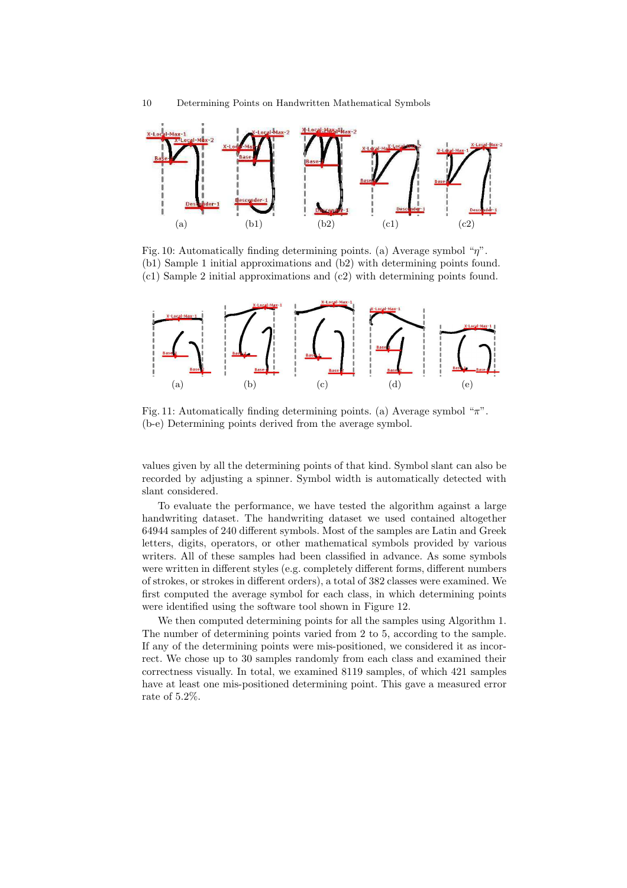

Fig. 10: Automatically finding determining points. (a) Average symbol " $\eta$ ". (b1) Sample 1 initial approximations and (b2) with determining points found. (c1) Sample 2 initial approximations and (c2) with determining points found.



Fig. 11: Automatically finding determining points. (a) Average symbol  $\pi$ ". (b-e) Determining points derived from the average symbol.

values given by all the determining points of that kind. Symbol slant can also be recorded by adjusting a spinner. Symbol width is automatically detected with slant considered.

To evaluate the performance, we have tested the algorithm against a large handwriting dataset. The handwriting dataset we used contained altogether 64944 samples of 240 different symbols. Most of the samples are Latin and Greek letters, digits, operators, or other mathematical symbols provided by various writers. All of these samples had been classified in advance. As some symbols were written in different styles (e.g. completely different forms, different numbers of strokes, or strokes in different orders), a total of 382 classes were examined. We first computed the average symbol for each class, in which determining points were identified using the software tool shown in Figure 12.

We then computed determining points for all the samples using Algorithm 1. The number of determining points varied from 2 to 5, according to the sample. If any of the determining points were mis-positioned, we considered it as incorrect. We chose up to 30 samples randomly from each class and examined their correctness visually. In total, we examined 8119 samples, of which 421 samples have at least one mis-positioned determining point. This gave a measured error rate of 5.2%.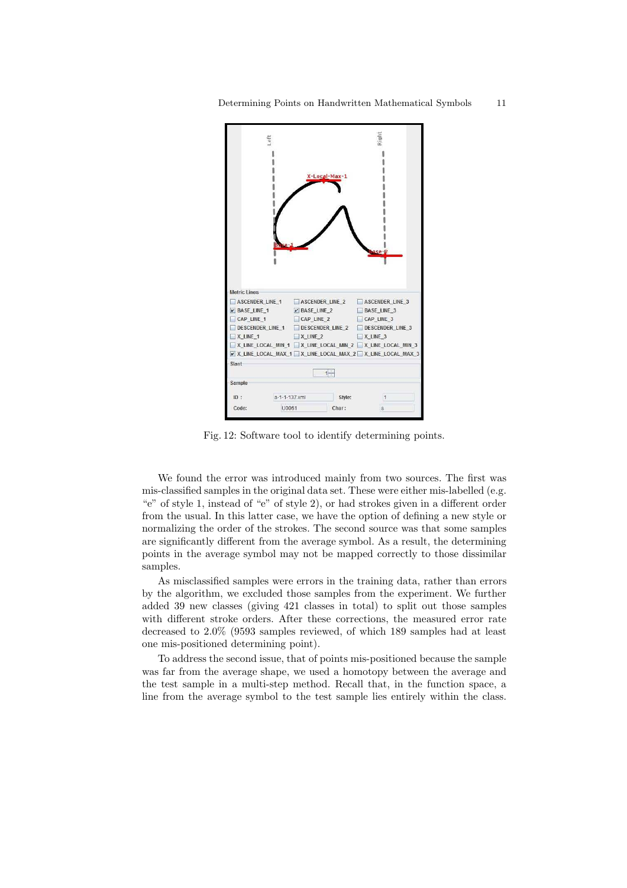

Fig. 12: Software tool to identify determining points.

We found the error was introduced mainly from two sources. The first was mis-classified samples in the original data set. These were either mis-labelled (e.g. "e" of style 1, instead of "e" of style 2), or had strokes given in a different order from the usual. In this latter case, we have the option of defining a new style or normalizing the order of the strokes. The second source was that some samples are significantly different from the average symbol. As a result, the determining points in the average symbol may not be mapped correctly to those dissimilar samples.

As misclassified samples were errors in the training data, rather than errors by the algorithm, we excluded those samples from the experiment. We further added 39 new classes (giving 421 classes in total) to split out those samples with different stroke orders. After these corrections, the measured error rate decreased to 2.0% (9593 samples reviewed, of which 189 samples had at least one mis-positioned determining point).

To address the second issue, that of points mis-positioned because the sample was far from the average shape, we used a homotopy between the average and the test sample in a multi-step method. Recall that, in the function space, a line from the average symbol to the test sample lies entirely within the class.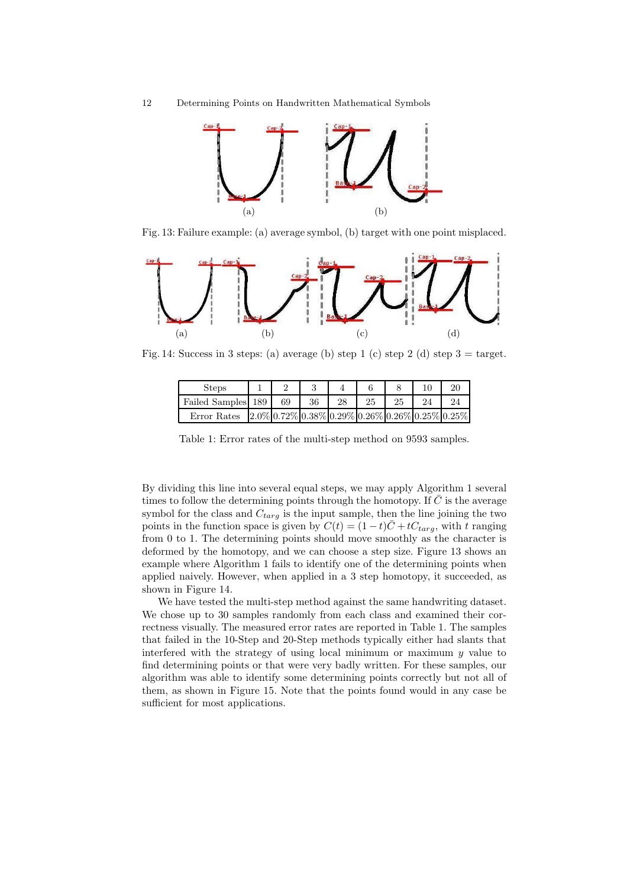

Fig. 13: Failure example: (a) average symbol, (b) target with one point misplaced.



Fig. 14: Success in 3 steps: (a) average (b) step 1 (c) step 2 (d) step  $3 = \text{target}$ .

| Steps              |    |                                                   |    |    |    |  |
|--------------------|----|---------------------------------------------------|----|----|----|--|
| Failed Samples 189 | 69 | 36                                                | 28 | 25 | 25 |  |
| Error Rates        |    | $2.0\%$ 0.72% 0.38% 0.29% 0.26% 0.26% 0.25% 0.25% |    |    |    |  |

Table 1: Error rates of the multi-step method on 9593 samples.

By dividing this line into several equal steps, we may apply Algorithm 1 several times to follow the determining points through the homotopy. If  $\bar{C}$  is the average symbol for the class and  $C_{targ}$  is the input sample, then the line joining the two points in the function space is given by  $C(t) = (1-t)\overline{C} + tC_{targ}$ , with t ranging from 0 to 1. The determining points should move smoothly as the character is deformed by the homotopy, and we can choose a step size. Figure 13 shows an example where Algorithm 1 fails to identify one of the determining points when applied naively. However, when applied in a 3 step homotopy, it succeeded, as shown in Figure 14.

We have tested the multi-step method against the same handwriting dataset. We chose up to 30 samples randomly from each class and examined their correctness visually. The measured error rates are reported in Table 1. The samples that failed in the 10-Step and 20-Step methods typically either had slants that interfered with the strategy of using local minimum or maximum  $y$  value to find determining points or that were very badly written. For these samples, our algorithm was able to identify some determining points correctly but not all of them, as shown in Figure 15. Note that the points found would in any case be sufficient for most applications.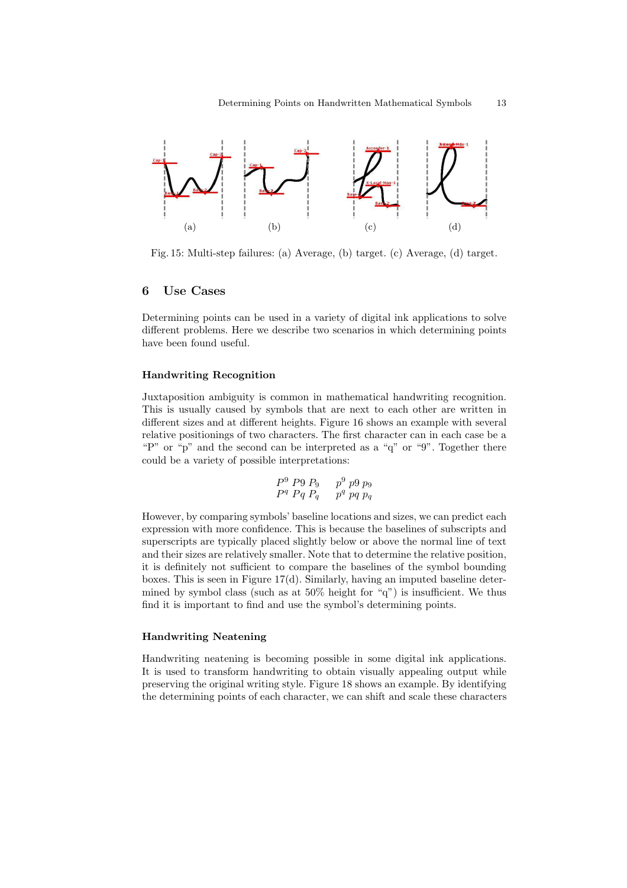

Fig. 15: Multi-step failures: (a) Average, (b) target. (c) Average, (d) target.

## 6 Use Cases

Determining points can be used in a variety of digital ink applications to solve different problems. Here we describe two scenarios in which determining points have been found useful.

#### Handwriting Recognition

Juxtaposition ambiguity is common in mathematical handwriting recognition. This is usually caused by symbols that are next to each other are written in different sizes and at different heights. Figure 16 shows an example with several relative positionings of two characters. The first character can in each case be a "P" or "p" and the second can be interpreted as a "q" or "9". Together there could be a variety of possible interpretations:

$$
\begin{array}{cc}\nP^9 & P9 & P_9 \\
P^q & Pq & P_q\n\end{array}\n\quad\n\begin{array}{cc}\np^9 & p9 & p_9 \\
p^q & pq & p_q\n\end{array}
$$

However, by comparing symbols' baseline locations and sizes, we can predict each expression with more confidence. This is because the baselines of subscripts and superscripts are typically placed slightly below or above the normal line of text and their sizes are relatively smaller. Note that to determine the relative position, it is definitely not sufficient to compare the baselines of the symbol bounding boxes. This is seen in Figure  $17(d)$ . Similarly, having an imputed baseline determined by symbol class (such as at  $50\%$  height for "q") is insufficient. We thus find it is important to find and use the symbol's determining points.

#### Handwriting Neatening

Handwriting neatening is becoming possible in some digital ink applications. It is used to transform handwriting to obtain visually appealing output while preserving the original writing style. Figure 18 shows an example. By identifying the determining points of each character, we can shift and scale these characters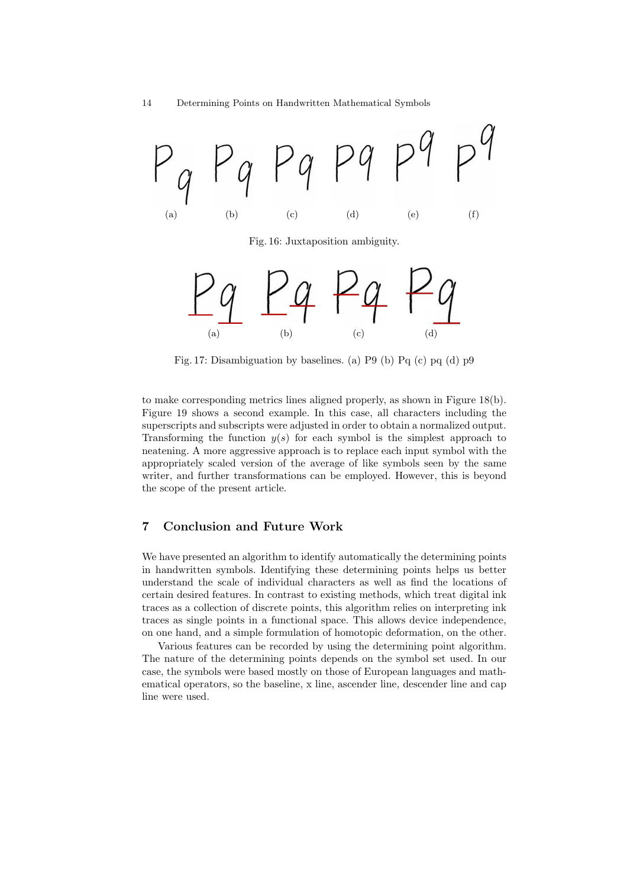

Fig. 16: Juxtaposition ambiguity.



Fig. 17: Disambiguation by baselines. (a) P9 (b) Pq (c) pq (d) p9

to make corresponding metrics lines aligned properly, as shown in Figure 18(b). Figure 19 shows a second example. In this case, all characters including the superscripts and subscripts were adjusted in order to obtain a normalized output. Transforming the function  $y(s)$  for each symbol is the simplest approach to neatening. A more aggressive approach is to replace each input symbol with the appropriately scaled version of the average of like symbols seen by the same writer, and further transformations can be employed. However, this is beyond the scope of the present article.

# 7 Conclusion and Future Work

We have presented an algorithm to identify automatically the determining points in handwritten symbols. Identifying these determining points helps us better understand the scale of individual characters as well as find the locations of certain desired features. In contrast to existing methods, which treat digital ink traces as a collection of discrete points, this algorithm relies on interpreting ink traces as single points in a functional space. This allows device independence, on one hand, and a simple formulation of homotopic deformation, on the other.

Various features can be recorded by using the determining point algorithm. The nature of the determining points depends on the symbol set used. In our case, the symbols were based mostly on those of European languages and mathematical operators, so the baseline, x line, ascender line, descender line and cap line were used.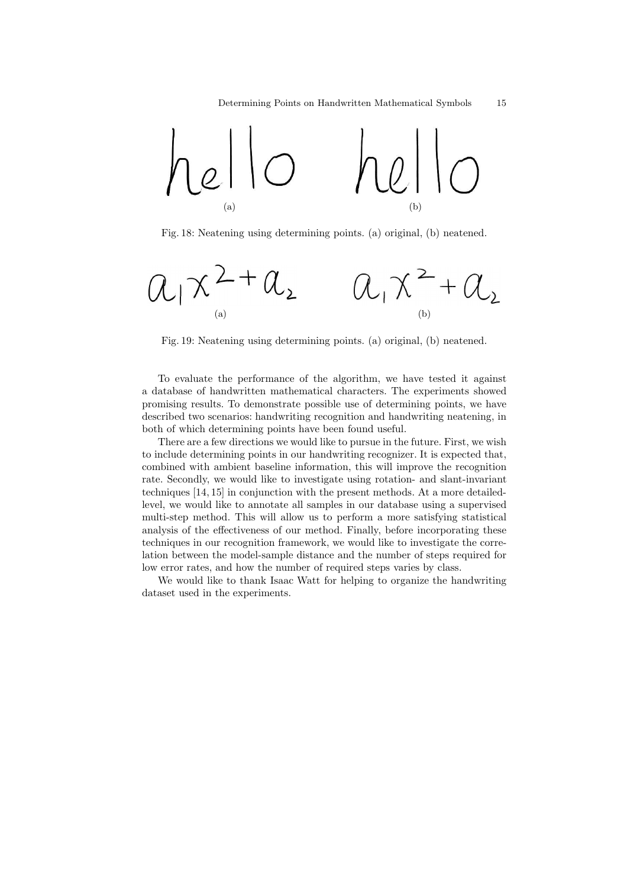

Fig. 18: Neatening using determining points. (a) original, (b) neatened.



Fig. 19: Neatening using determining points. (a) original, (b) neatened.

To evaluate the performance of the algorithm, we have tested it against a database of handwritten mathematical characters. The experiments showed promising results. To demonstrate possible use of determining points, we have described two scenarios: handwriting recognition and handwriting neatening, in both of which determining points have been found useful.

There are a few directions we would like to pursue in the future. First, we wish to include determining points in our handwriting recognizer. It is expected that, combined with ambient baseline information, this will improve the recognition rate. Secondly, we would like to investigate using rotation- and slant-invariant techniques [14, 15] in conjunction with the present methods. At a more detailedlevel, we would like to annotate all samples in our database using a supervised multi-step method. This will allow us to perform a more satisfying statistical analysis of the effectiveness of our method. Finally, before incorporating these techniques in our recognition framework, we would like to investigate the correlation between the model-sample distance and the number of steps required for low error rates, and how the number of required steps varies by class.

We would like to thank Isaac Watt for helping to organize the handwriting dataset used in the experiments.